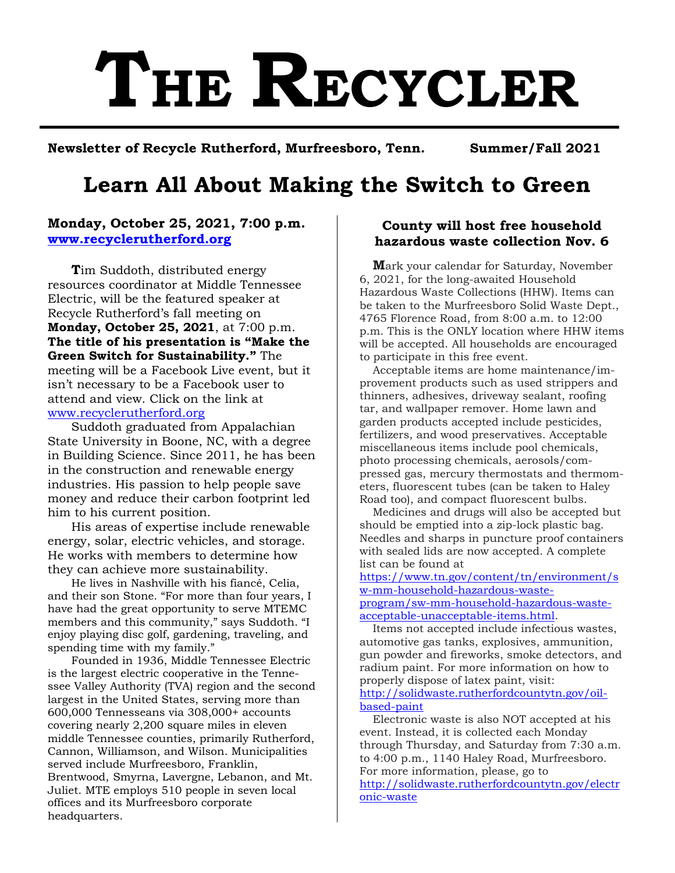# **THE RECYCLER**

**Newsletter of Recycle Rutherford, Murfreesboro, Tenn. Summer/Fall 2021**

# **Learn All About Making the Switch to Green**

# **Monday, October 25, 2021, 7:00 p.m. [www.recyclerutherford.org](http://www.recyclerutherford.org/)**

**T**im Suddoth, distributed energy resources coordinator at Middle Tennessee Electric, will be the featured speaker at Recycle Rutherford's fall meeting on **Monday, October 25, 2021**, at 7:00 p.m. **The title of his presentation is "Make the Green Switch for Sustainability."** The meeting will be a Facebook Live event, but it isn't necessary to be a Facebook user to attend and view. Click on the link at [www.recyclerutherford.org](http://www.recyclerutherford.org/) 

Suddoth graduated from Appalachian State University in Boone, NC, with a degree in Building Science. Since 2011, he has been in the construction and renewable energy industries. His passion to help people save money and reduce their carbon footprint led him to his current position.

His areas of expertise include renewable energy, solar, electric vehicles, and storage. He works with members to determine how they can achieve more sustainability.

He lives in Nashville with his fiancé, Celia, and their son Stone. "For more than four years, I have had the great opportunity to serve MTEMC members and this community," says Suddoth. "I enjoy playing disc golf, gardening, traveling, and spending time with my family."

Founded in 1936, Middle Tennessee Electric is the largest electric cooperative in the Tennessee Valley Authority (TVA) region and the second largest in the United States, serving more than 600,000 Tennesseans via 308,000+ accounts covering nearly 2,200 square miles in eleven middle Tennessee counties, primarily Rutherford, Cannon, Williamson, and Wilson. Municipalities served include Murfreesboro, Franklin, Brentwood, Smyrna, Lavergne, Lebanon, and Mt. Juliet. MTE employs 510 people in seven local offices and its Murfreesboro corporate headquarters.

# **County will host free household hazardous waste collection Nov. 6**

**M**ark your calendar for Saturday, November 6, 2021, for the long-awaited Household Hazardous Waste Collections (HHW). Items can be taken to the Murfreesboro Solid Waste Dept., 4765 Florence Road, from 8:00 a.m. to 12:00 p.m. This is the ONLY location where HHW items will be accepted. All households are encouraged to participate in this free event.

Acceptable items are home maintenance/improvement products such as used strippers and thinners, adhesives, driveway sealant, roofing tar, and wallpaper remover. Home lawn and garden products accepted include pesticides, fertilizers, and wood preservatives. Acceptable miscellaneous items include pool chemicals, photo processing chemicals, aerosols/compressed gas, mercury thermostats and thermometers, fluorescent tubes (can be taken to Haley Road too), and compact fluorescent bulbs.

Medicines and drugs will also be accepted but should be emptied into a zip-lock plastic bag. Needles and sharps in puncture proof containers with sealed lids are now accepted. A complete list can be found at

[https://www.tn.gov/content/tn/environment/s](https://urldefense.com/v3/__http:/track.spe.schoolmessenger.com/f/a/2BWbt_yexU7qUoOpvWlQ-A**A/AAAAAQA*/RgRjJPEBP0SUaHR0cHM6Ly93d3cudG4uZ292L2NvbnRlbnQvdG4vZW52aXJvbm1lbnQvc3ctbW0taG91c2Vob2xkLWhhemFyZG91cy13YXN0ZS1wcm9ncmFtL3N3LW1tLWhvdXNlaG9sZC1oYXphcmRvdXMtd2FzdGUtYWNjZXB0YWJsZS11bmFjY2VwdGFibGUtaXRlbXMuaHRtbFcHc2Nob29sbUIKYUCBvUNh496rdVIWY29ybmV0dHJAcmNzY2hvb2xzLm5ldFgEAAAAAQ**A__;fn5-fn4!!Cx0GcAwIk107!oOnEyGR4ERnXk4d0ppDSJe134mR6Ucnj6mbduao19KrepH7Qqbmi3dVaLt8kkliVjQ$) [w-mm-household-hazardous-waste](https://urldefense.com/v3/__http:/track.spe.schoolmessenger.com/f/a/2BWbt_yexU7qUoOpvWlQ-A**A/AAAAAQA*/RgRjJPEBP0SUaHR0cHM6Ly93d3cudG4uZ292L2NvbnRlbnQvdG4vZW52aXJvbm1lbnQvc3ctbW0taG91c2Vob2xkLWhhemFyZG91cy13YXN0ZS1wcm9ncmFtL3N3LW1tLWhvdXNlaG9sZC1oYXphcmRvdXMtd2FzdGUtYWNjZXB0YWJsZS11bmFjY2VwdGFibGUtaXRlbXMuaHRtbFcHc2Nob29sbUIKYUCBvUNh496rdVIWY29ybmV0dHJAcmNzY2hvb2xzLm5ldFgEAAAAAQ**A__;fn5-fn4!!Cx0GcAwIk107!oOnEyGR4ERnXk4d0ppDSJe134mR6Ucnj6mbduao19KrepH7Qqbmi3dVaLt8kkliVjQ$)[program/sw-mm-household-hazardous-waste](https://urldefense.com/v3/__http:/track.spe.schoolmessenger.com/f/a/2BWbt_yexU7qUoOpvWlQ-A**A/AAAAAQA*/RgRjJPEBP0SUaHR0cHM6Ly93d3cudG4uZ292L2NvbnRlbnQvdG4vZW52aXJvbm1lbnQvc3ctbW0taG91c2Vob2xkLWhhemFyZG91cy13YXN0ZS1wcm9ncmFtL3N3LW1tLWhvdXNlaG9sZC1oYXphcmRvdXMtd2FzdGUtYWNjZXB0YWJsZS11bmFjY2VwdGFibGUtaXRlbXMuaHRtbFcHc2Nob29sbUIKYUCBvUNh496rdVIWY29ybmV0dHJAcmNzY2hvb2xzLm5ldFgEAAAAAQ**A__;fn5-fn4!!Cx0GcAwIk107!oOnEyGR4ERnXk4d0ppDSJe134mR6Ucnj6mbduao19KrepH7Qqbmi3dVaLt8kkliVjQ$)[acceptable-unacceptable-items.html.](https://urldefense.com/v3/__http:/track.spe.schoolmessenger.com/f/a/2BWbt_yexU7qUoOpvWlQ-A**A/AAAAAQA*/RgRjJPEBP0SUaHR0cHM6Ly93d3cudG4uZ292L2NvbnRlbnQvdG4vZW52aXJvbm1lbnQvc3ctbW0taG91c2Vob2xkLWhhemFyZG91cy13YXN0ZS1wcm9ncmFtL3N3LW1tLWhvdXNlaG9sZC1oYXphcmRvdXMtd2FzdGUtYWNjZXB0YWJsZS11bmFjY2VwdGFibGUtaXRlbXMuaHRtbFcHc2Nob29sbUIKYUCBvUNh496rdVIWY29ybmV0dHJAcmNzY2hvb2xzLm5ldFgEAAAAAQ**A__;fn5-fn4!!Cx0GcAwIk107!oOnEyGR4ERnXk4d0ppDSJe134mR6Ucnj6mbduao19KrepH7Qqbmi3dVaLt8kkliVjQ$)

Items not accepted include infectious wastes, automotive gas tanks, explosives, ammunition, gun powder and fireworks, smoke detectors, and radium paint. For more information on how to properly dispose of latex paint, visit: [http://solidwaste.rutherfordcountytn.gov/oil](http://solidwaste.rutherfordcountytn.gov/oil-based-paint)[based-paint](http://solidwaste.rutherfordcountytn.gov/oil-based-paint)

Electronic waste is also NOT accepted at his event. Instead, it is collected each Monday through Thursday, and Saturday from 7:30 a.m. to 4:00 p.m., 1140 Haley Road, Murfreesboro. For more information, please, go to [http://solidwaste.rutherfordcountytn.gov/electr](http://solidwaste.rutherfordcountytn.gov/electronic-waste) [onic-waste](http://solidwaste.rutherfordcountytn.gov/electronic-waste)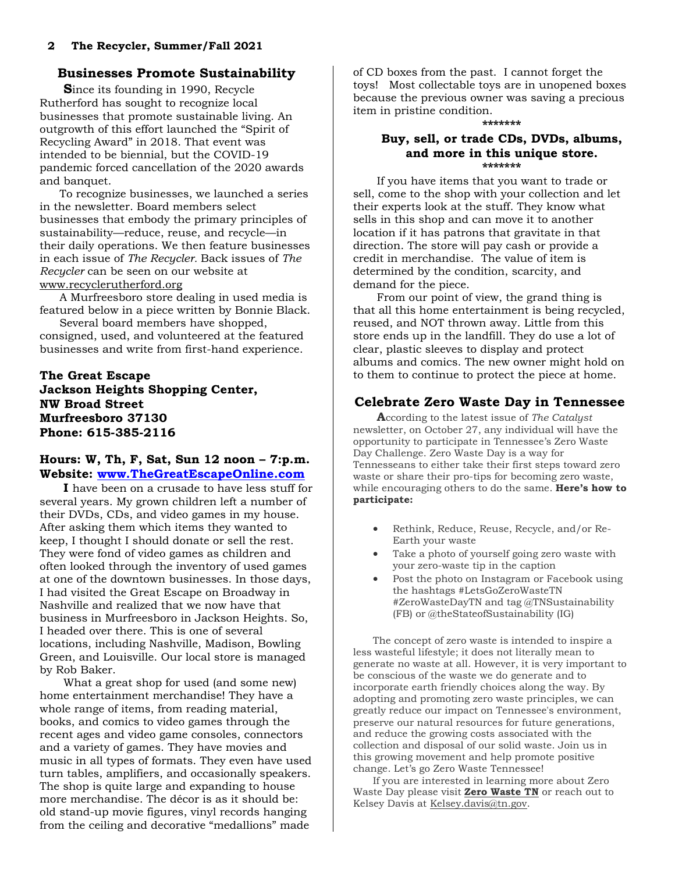# **Businesses Promote Sustainability**

**S**ince its founding in 1990, Recycle Rutherford has sought to recognize local businesses that promote sustainable living. An outgrowth of this effort launched the "Spirit of Recycling Award" in 2018. That event was intended to be biennial, but the COVID-19 pandemic forced cancellation of the 2020 awards and banquet.

To recognize businesses, we launched a series in the newsletter. Board members select businesses that embody the primary principles of sustainability—reduce, reuse, and recycle—in their daily operations. We then feature businesses in each issue of *The Recycler.* Back issues of *The Recycler* can be seen on our website at [www.recyclerutherford.org](http://www.recyclerutherford.org/)

A Murfreesboro store dealing in used media is featured below in a piece written by Bonnie Black.

Several board members have shopped, consigned, used, and volunteered at the featured businesses and write from first-hand experience.

**The Great Escape Jackson Heights Shopping Center, NW Broad Street Murfreesboro 37130 Phone: 615-385-2116**

#### **Hours: W, Th, F, Sat, Sun 12 noon – 7:p.m. Website: [www.TheGreatEscapeOnline.com](http://www.thegreatescapeonline.com/)**

**I** have been on a crusade to have less stuff for several years. My grown children left a number of their DVDs, CDs, and video games in my house. After asking them which items they wanted to keep, I thought I should donate or sell the rest. They were fond of video games as children and often looked through the inventory of used games at one of the downtown businesses. In those days, I had visited the Great Escape on Broadway in Nashville and realized that we now have that business in Murfreesboro in Jackson Heights. So, I headed over there. This is one of several locations, including Nashville, Madison, Bowling Green, and Louisville. Our local store is managed by Rob Baker.

What a great shop for used (and some new) home entertainment merchandise! They have a whole range of items, from reading material, books, and comics to video games through the recent ages and video game consoles, connectors and a variety of games. They have movies and music in all types of formats. They even have used turn tables, amplifiers, and occasionally speakers. The shop is quite large and expanding to house more merchandise. The décor is as it should be: old stand-up movie figures, vinyl records hanging from the ceiling and decorative "medallions" made

of CD boxes from the past. I cannot forget the toys! Most collectable toys are in unopened boxes because the previous owner was saving a precious item in pristine condition.

#### **\*\*\*\*\*\*\***

#### **Buy, sell, or trade CDs, DVDs, albums, and more in this unique store. \*\*\*\*\*\*\***

If you have items that you want to trade or sell, come to the shop with your collection and let their experts look at the stuff. They know what sells in this shop and can move it to another location if it has patrons that gravitate in that direction. The store will pay cash or provide a credit in merchandise. The value of item is determined by the condition, scarcity, and demand for the piece.

From our point of view, the grand thing is that all this home entertainment is being recycled, reused, and NOT thrown away. Little from this store ends up in the landfill. They do use a lot of clear, plastic sleeves to display and protect albums and comics. The new owner might hold on to them to continue to protect the piece at home.

# **Celebrate Zero Waste Day in Tennessee**

**A**ccording to the latest issue of *The Catalyst* newsletter, on October 27, any individual will have the opportunity to participate in Tennessee's Zero Waste Day Challenge. Zero Waste Day is a way for Tennesseans to either take their first steps toward zero waste or share their pro-tips for becoming zero waste, while encouraging others to do the same. **Here's how to participate:**

- Rethink, Reduce, Reuse, Recycle, and/or Re-Earth your waste
- Take a photo of yourself going zero waste with your zero-waste tip in the caption
- Post the photo on Instagram or Facebook using the hashtags #LetsGoZeroWasteTN #ZeroWasteDayTN and tag @TNSustainability (FB) or @theStateofSustainability (IG)

The concept of zero waste is intended to inspire a less wasteful lifestyle; it does not literally mean to generate no waste at all. However, it is very important to be conscious of the waste we do generate and to incorporate earth friendly choices along the way. By adopting and promoting zero waste principles, we can greatly reduce our impact on Tennessee's environment, preserve our natural resources for future generations, and reduce the growing costs associated with the collection and disposal of our solid waste. Join us in this growing movement and help promote positive change. Let's go Zero Waste Tennessee!

If you are interested in learning more about Zero Waste Day please visit **[Zero Waste TN](https://urldefense.com/v3/__https:/t.e2ma.net/click/1yz6de/xfui7g/tw81bt__;!!Cx0GcAwIk107!oGtzIoo5LB5J-4uWdgNSJPwwwPpDE-6pxUeEua84OGGlbJtvpsuiQkDCH342KDgVAA$)** or reach out to Kelsey Davis at [Kelsey.davis@tn.gov.](mailto:Kelsey.davis@tn.gov)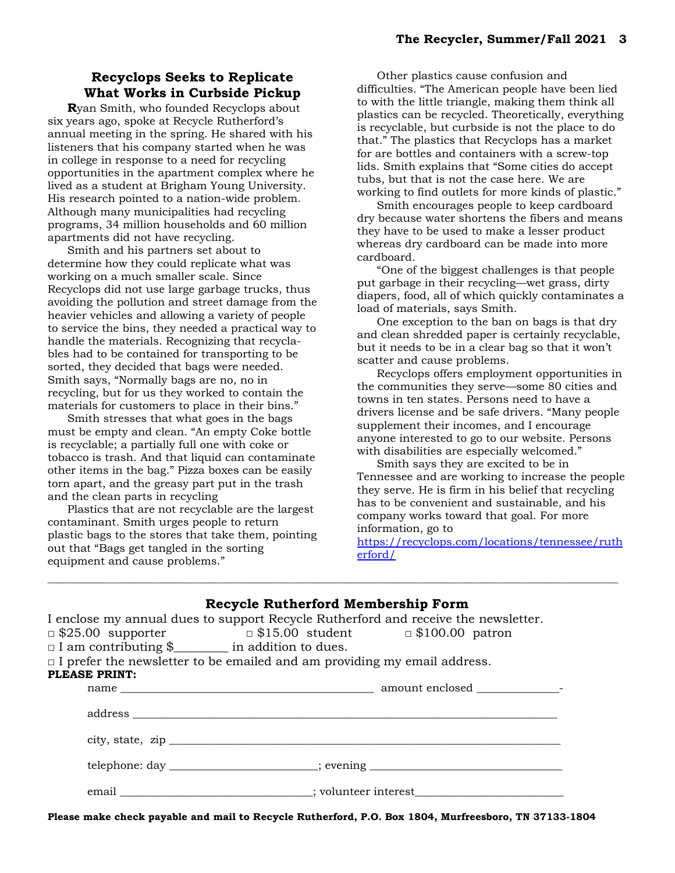# **Recyclops Seeks to Replicate What Works in Curbside Pickup**

**R**yan Smith, who founded Recyclops about six years ago, spoke at Recycle Rutherford's annual meeting in the spring. He shared with his listeners that his company started when he was in college in response to a need for recycling opportunities in the apartment complex where he lived as a student at Brigham Young University. His research pointed to a nation-wide problem. Although many municipalities had recycling programs, 34 million households and 60 million apartments did not have recycling.

Smith and his partners set about to determine how they could replicate what was working on a much smaller scale. Since Recyclops did not use large garbage trucks, thus avoiding the pollution and street damage from the heavier vehicles and allowing a variety of people to service the bins, they needed a practical way to handle the materials. Recognizing that recyclables had to be contained for transporting to be sorted, they decided that bags were needed. Smith says, "Normally bags are no, no in recycling, but for us they worked to contain the materials for customers to place in their bins."

Smith stresses that what goes in the bags must be empty and clean. "An empty Coke bottle is recyclable; a partially full one with coke or tobacco is trash. And that liquid can contaminate other items in the bag." Pizza boxes can be easily torn apart, and the greasy part put in the trash and the clean parts in recycling

Plastics that are not recyclable are the largest contaminant. Smith urges people to return plastic bags to the stores that take them, pointing out that "Bags get tangled in the sorting equipment and cause problems."

Other plastics cause confusion and difficulties. "The American people have been lied to with the little triangle, making them think all plastics can be recycled. Theoretically, everything is recyclable, but curbside is not the place to do that." The plastics that Recyclops has a market for are bottles and containers with a screw-top lids. Smith explains that "Some cities do accept tubs, but that is not the case here. We are working to find outlets for more kinds of plastic."

Smith encourages people to keep cardboard dry because water shortens the fibers and means they have to be used to make a lesser product whereas dry cardboard can be made into more cardboard.

"One of the biggest challenges is that people put garbage in their recycling—wet grass, dirty diapers, food, all of which quickly contaminates a load of materials, says Smith.

One exception to the ban on bags is that dry and clean shredded paper is certainly recyclable, but it needs to be in a clear bag so that it won't scatter and cause problems.

Recyclops offers employment opportunities in the communities they serve—some 80 cities and towns in ten states. Persons need to have a drivers license and be safe drivers. "Many people supplement their incomes, and I encourage anyone interested to go to our website. Persons with disabilities are especially welcomed."

Smith says they are excited to be in Tennessee and are working to increase the people they serve. He is firm in his belief that recycling has to be convenient and sustainable, and his company works toward that goal. For more information, go to

[https://recyclops.com/locations/tennessee/ruth](https://recyclops.com/locations/tennessee/rutherford/) [erford/](https://recyclops.com/locations/tennessee/rutherford/)

|                                                           | <b>Recycle Rutherford Membership Form</b>                                          |  |
|-----------------------------------------------------------|------------------------------------------------------------------------------------|--|
|                                                           | I enclose my annual dues to support Recycle Rutherford and receive the newsletter. |  |
|                                                           | $\Box$ \$25.00 supporter $\Box$ \$15.00 student $\Box$ \$100.00 patron             |  |
| $\Box$ I am contributing \$ ________ in addition to dues. |                                                                                    |  |
|                                                           | $\Box$ I prefer the newsletter to be emailed and am providing my email address.    |  |
| <b>PLEASE PRINT:</b>                                      |                                                                                    |  |
|                                                           |                                                                                    |  |
|                                                           |                                                                                    |  |
|                                                           |                                                                                    |  |
|                                                           |                                                                                    |  |
|                                                           | telephone: day ______________________; evening _________________________________   |  |
|                                                           | email ________________________________; volunteer interest______________________   |  |

\_\_\_\_\_\_\_\_\_\_\_\_\_\_\_\_\_\_\_\_\_\_\_\_\_\_\_\_\_\_\_\_\_\_\_\_\_\_\_\_\_\_\_\_\_\_\_\_\_\_\_\_\_\_\_\_\_\_\_\_\_\_\_\_\_\_\_\_\_\_\_\_\_\_\_\_\_\_\_\_\_\_\_\_\_\_\_\_\_\_\_\_\_\_\_\_\_\_\_\_\_\_\_\_\_\_\_\_\_\_\_\_\_\_\_

**Please make check payable and mail to Recycle Rutherford, P.O. Box 1804, Murfreesboro, TN 37133-1804**